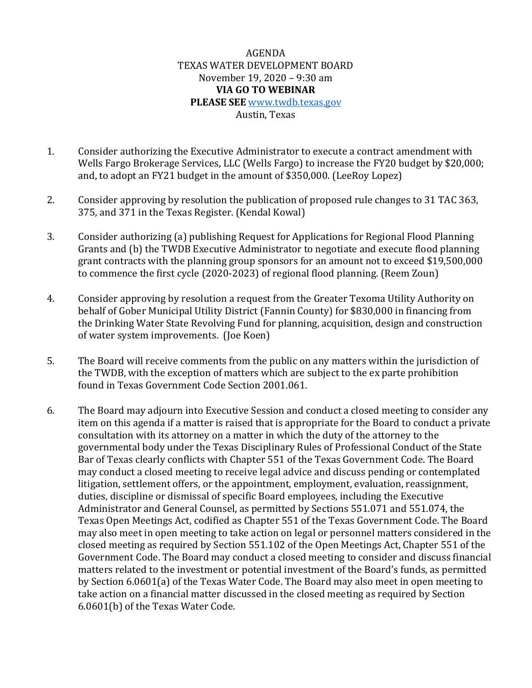## AGENDA TEXAS WATER DEVELOPMENT BOARD November 19, 2020 – 9:30 am **VIA GO TO WEBINAR PLEASE SEE** [www.twdb.texas.gov](http://www.twdb.texas.gov/) Austin, Texas

- 1. Consider authorizing the Executive Administrator to execute a contract amendment with Wells Fargo Brokerage Services, LLC (Wells Fargo) to increase the FY20 budget by \$20,000; and, to adopt an FY21 budget in the amount of \$350,000. (LeeRoy Lopez)
- 2. Consider approving by resolution the publication of proposed rule changes to 31 TAC 363, 375, and 371 in the Texas Register. (Kendal Kowal)
- 3. Consider authorizing (a) publishing Request for Applications for Regional Flood Planning Grants and (b) the TWDB Executive Administrator to negotiate and execute flood planning grant contracts with the planning group sponsors for an amount not to exceed \$19,500,000 to commence the first cycle (2020-2023) of regional flood planning. (Reem Zoun)
- 4. Consider approving by resolution a request from the Greater Texoma Utility Authority on behalf of Gober Municipal Utility District (Fannin County) for \$830,000 in financing from the Drinking Water State Revolving Fund for planning, acquisition, design and construction of water system improvements. (Joe Koen)
- 5. The Board will receive comments from the public on any matters within the jurisdiction of the TWDB, with the exception of matters which are subject to the ex parte prohibition found in Texas Government Code Section 2001.061.
- 6. The Board may adjourn into Executive Session and conduct a closed meeting to consider any item on this agenda if a matter is raised that is appropriate for the Board to conduct a private consultation with its attorney on a matter in which the duty of the attorney to the governmental body under the Texas Disciplinary Rules of Professional Conduct of the State Bar of Texas clearly conflicts with Chapter 551 of the Texas Government Code. The Board may conduct a closed meeting to receive legal advice and discuss pending or contemplated litigation, settlement offers, or the appointment, employment, evaluation, reassignment, duties, discipline or dismissal of specific Board employees, including the Executive Administrator and General Counsel, as permitted by Sections 551.071 and 551.074, the Texas Open Meetings Act, codified as Chapter 551 of the Texas Government Code. The Board may also meet in open meeting to take action on legal or personnel matters considered in the closed meeting as required by Section 551.102 of the Open Meetings Act, Chapter 551 of the Government Code. The Board may conduct a closed meeting to consider and discuss financial matters related to the investment or potential investment of the Board's funds, as permitted by Section 6.0601(a) of the Texas Water Code. The Board may also meet in open meeting to take action on a financial matter discussed in the closed meeting as required by Section 6.0601(b) of the Texas Water Code.